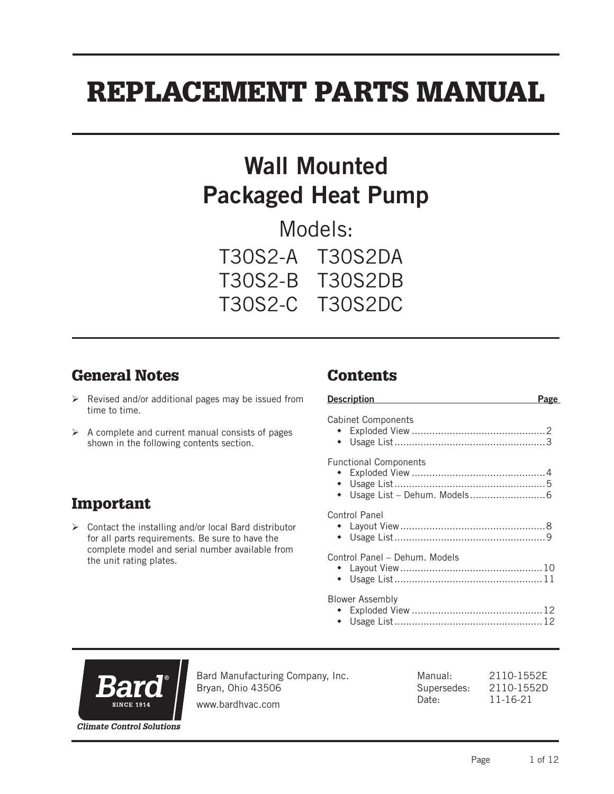# REPLACEMENT PARTS MANUAL

# Wall Mounted Packaged Heat Pump

Models: T30S2-A T30S2DA T30S2-B T30S2DB T30S2-C T30S2DC

## General Notes

- $\triangleright$  Revised and/or additional pages may be issued from time to time.
- $\triangleright$  A complete and current manual consists of pages shown in the following contents section.

#### Important

 Contact the installing and/or local Bard distributor for all parts requirements. Be sure to have the complete model and serial number available from the unit rating plates.

# **Contents**

| <b>Description</b>            | Page |
|-------------------------------|------|
| <b>Cabinet Components</b>     |      |
| <b>Functional Components</b>  |      |
| Control Panel                 |      |
| Control Panel - Dehum, Models |      |
| <b>Blower Assembly</b>        |      |



Bard Manufacturing Company, Inc. Bryan, Ohio 43506

Manual: 2110-1552E Supersedes: 2110-1552D Date: 11-16-21

www.bardhvac.com

**Climate Control Solutions**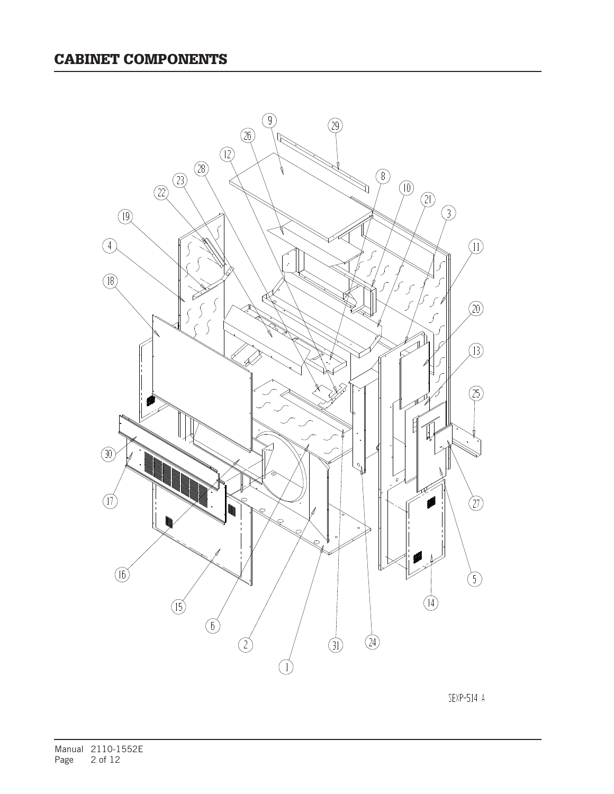

SEXP-514 A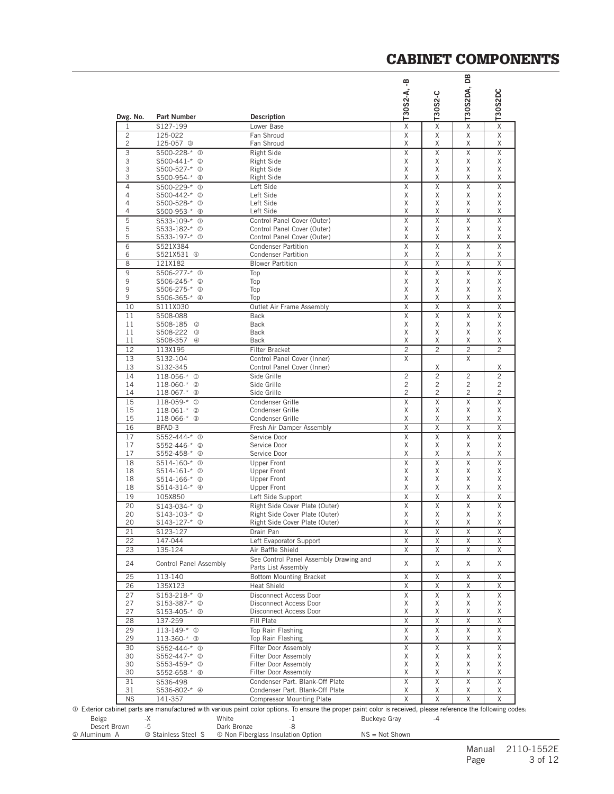#### CABINET COMPONENTS

|                |                                                     |                                                                                                                                                                  | ؋                   |                         | BQ             |                     |
|----------------|-----------------------------------------------------|------------------------------------------------------------------------------------------------------------------------------------------------------------------|---------------------|-------------------------|----------------|---------------------|
| Dwg. No.       | <b>Part Number</b>                                  | <b>Description</b>                                                                                                                                               | T30S2-A,            | T30S2-C                 | T30S2DA,       | $\times$ T30S2DC    |
| 1              | S127-199                                            | Lower Base                                                                                                                                                       | Χ                   | $\overline{\mathsf{x}}$ | χ              |                     |
| $\overline{c}$ | 125-022                                             | Fan Shroud                                                                                                                                                       | Χ                   | Χ                       | Χ              | X                   |
| 2              | 125-057 3                                           | Fan Shroud                                                                                                                                                       | Χ                   | χ                       | Χ              | Χ                   |
| 3              | \$500-228-* 0                                       | Right Side                                                                                                                                                       | X                   | Χ                       | X              | Χ                   |
| 3              | S500-441-* 2                                        | <b>Right Side</b>                                                                                                                                                | Χ                   | Χ                       | Χ              | Χ                   |
| 3<br>3         | S500-527-* 3<br>S500-954-* 4                        | <b>Right Side</b><br><b>Right Side</b>                                                                                                                           | X<br>Χ              | Χ<br>Χ                  | X<br>Χ         | Χ<br>Χ              |
| 4              | \$500-229-* <sup>0</sup>                            | Left Side                                                                                                                                                        | Χ                   | Χ                       | Χ              | χ                   |
| 4              | S500-442-* 2                                        | Left Side                                                                                                                                                        | Χ                   | Χ                       | Χ              | Χ                   |
| 4              | S500-528-* 3                                        | Left Side                                                                                                                                                        | Χ                   | Χ                       | Χ              | Χ                   |
| 4              | S500-953-* 4                                        | Left Side                                                                                                                                                        | Χ                   | Χ                       | X              | Χ                   |
| 5              | \$533-109-* <sup>0</sup>                            | Control Panel Cover (Outer)                                                                                                                                      | Χ                   | χ                       | χ              | X                   |
| 5<br>5         | S533-182-* 2                                        | Control Panel Cover (Outer)                                                                                                                                      | Χ<br>Χ              | Χ                       | Χ<br>Χ         | Χ                   |
| 6              | S533-197-* 3<br>S521X384                            | Control Panel Cover (Outer)<br><b>Condenser Partition</b>                                                                                                        | χ                   | Χ<br>X                  | χ              | Χ<br>X              |
| 6              | S521X531 4                                          | <b>Condenser Partition</b>                                                                                                                                       | Χ                   | Χ                       | Χ              | X                   |
| 8              | 121X182                                             | <b>Blower Partition</b>                                                                                                                                          | X                   | Χ                       | Χ              | Χ                   |
| 9              | \$506-277-* <sup>0</sup>                            | Top                                                                                                                                                              | X                   | Χ                       | X              | Χ                   |
| 9              | S506-245-* 2                                        | Top                                                                                                                                                              | Χ                   | Χ                       | Χ              | Χ                   |
| 9              | S506-275-* 3                                        | Top                                                                                                                                                              | χ                   | Χ                       | X              | X                   |
| 9              | $$506-365-*$ $@$                                    | Top                                                                                                                                                              | Χ                   | Χ                       | Χ              | Χ                   |
| 10             | S111X030                                            | Outlet Air Frame Assembly                                                                                                                                        | Χ                   | χ                       | Χ              | Χ                   |
| 11             | S508-088                                            | Back                                                                                                                                                             | X                   | Χ                       | X              | X                   |
| 11             | S508-185<br>$^{\circledR}$                          | <b>Back</b>                                                                                                                                                      | Χ                   | Χ                       | Χ              | Χ                   |
| 11<br>11       | S508-222<br>$^{\circ}$<br>⊕                         | Back                                                                                                                                                             | Χ<br>Χ              | Χ                       | Χ<br>Χ         | X                   |
| 12             | S508-357<br>113X195                                 | Back                                                                                                                                                             | $\overline{c}$      | χ<br>2                  | $\overline{c}$ | Χ<br>$\overline{c}$ |
| 13             | S132-104                                            | Filter Bracket<br>Control Panel Cover (Inner)                                                                                                                    | X                   |                         | X              |                     |
| 13             | S132-345                                            | Control Panel Cover (Inner)                                                                                                                                      |                     | Χ                       |                | Χ                   |
| 14             | 118-056-* <sup>0</sup>                              | Side Grille                                                                                                                                                      | $\overline{c}$      | $\overline{c}$          | $\overline{c}$ | $\overline{c}$      |
| 14             | 118-060-* 2                                         | Side Grille                                                                                                                                                      | $\overline{c}$      | 2                       | 2              | 2                   |
| 14             | $118-067-*$ 3                                       | Side Grille                                                                                                                                                      | 2                   | 2                       | $\overline{c}$ | 2                   |
| 15             | 118-059-* <sup>0</sup>                              | Condenser Grille                                                                                                                                                 | X                   | Χ                       | X              | Χ                   |
| 15             | 118-061-* 2                                         | Condenser Grille                                                                                                                                                 | Χ                   | Χ                       | Χ              | Χ                   |
| 15             | 118-066-* 3                                         | Condenser Grille                                                                                                                                                 | Χ                   | Χ                       | Χ              | Χ                   |
| 16             | BFAD-3                                              | Fresh Air Damper Assembly                                                                                                                                        | Χ                   | Χ                       | Χ              | Χ                   |
| 17             | \$552-444-* <sup>0</sup>                            | Service Door                                                                                                                                                     | Χ                   | Χ                       | X              | Χ                   |
| 17             | S552-446-* 2                                        | Service Door                                                                                                                                                     | Χ                   | Χ                       | Χ              | Χ                   |
| 17<br>18       | S552-458-* <sup>3</sup><br>\$514-160-* <sup>0</sup> | Service Door                                                                                                                                                     | Χ<br>χ              | Χ<br>X                  | Χ<br>χ         | Χ<br>χ              |
| 18             | S514-161-* 2                                        | <b>Upper Front</b><br><b>Upper Front</b>                                                                                                                         | X                   | X                       | X              | X                   |
| 18             | S514-166-* 3                                        | Upper Front                                                                                                                                                      | Χ                   | Χ                       | Χ              | Χ                   |
| 18             | S514-314-* 4                                        | Upper Front                                                                                                                                                      | Χ                   | Χ                       | Χ              | Χ                   |
| 19             | 105X850                                             | Left Side Support                                                                                                                                                | X                   | Χ                       | X              | χ                   |
| 20             | \$143-034-* <sup>0</sup>                            | Right Side Cover Plate (Outer)                                                                                                                                   | Χ                   | Χ                       | Χ              | χ                   |
| 20             | $$143-103-*$ 2                                      | Right Side Cover Plate (Outer)                                                                                                                                   | Χ                   | Χ                       | X              | Χ                   |
| 20             | $$143-127$ -* $@$                                   | Right Side Cover Plate (Outer)                                                                                                                                   | х                   | X                       | х              | Х                   |
| 21             | S123-127                                            | Drain Pan                                                                                                                                                        | Χ                   | χ                       | χ              | Χ                   |
| 22             | 147-044                                             | Left Evaporator Support                                                                                                                                          | Χ                   | Χ                       | Χ              | Χ                   |
| 23             | 135-124                                             | Air Baffle Shield                                                                                                                                                | Χ                   | $\overline{\mathsf{X}}$ | X              | X                   |
| 24             | Control Panel Assembly                              | See Control Panel Assembly Drawing and                                                                                                                           | X                   | X                       | X              | X                   |
|                | 113-140                                             | Parts List Assembly<br><b>Bottom Mounting Bracket</b>                                                                                                            |                     |                         |                |                     |
| 25<br>26       | 135X123                                             | <b>Heat Shield</b>                                                                                                                                               | Χ<br>Χ              | χ<br>Χ                  | χ<br>Χ         | Χ<br>χ              |
| 27             | \$153-218-* 0                                       | Disconnect Access Door                                                                                                                                           | χ                   | Χ                       | Χ              | Χ                   |
| 27             | S153-387-* 2                                        | Disconnect Access Door                                                                                                                                           | Χ                   | Χ                       | Χ              | X                   |
| 27             | $$153-405-*$ 3                                      | Disconnect Access Door                                                                                                                                           | χ                   | Χ                       | Χ              | Χ                   |
| 28             | 137-259                                             | Fill Plate                                                                                                                                                       | Χ                   | $\overline{\chi}$       | Χ              | Χ                   |
| 29             | 113-149-* <sup>0</sup>                              | Top Rain Flashing                                                                                                                                                | Χ                   | X                       | X              | X                   |
| 29             | 113-360-* 3                                         | Top Rain Flashing                                                                                                                                                | Χ                   | Χ                       | Χ              | Χ                   |
| 30             | \$552-444-* <sup>0</sup>                            | Filter Door Assembly                                                                                                                                             | Χ                   | Χ                       | χ              | χ                   |
| 30             | S552-447-* 2                                        | Filter Door Assembly                                                                                                                                             | Χ                   | χ                       | Χ              | Χ                   |
| 30             | S553-459-* 3                                        | Filter Door Assembly                                                                                                                                             | Χ                   | Χ                       | Χ              | Χ                   |
| 30             | $$552-658-*$ $@$                                    | Filter Door Assembly                                                                                                                                             | Χ                   | χ                       | Χ              | Χ                   |
| 31             | S536-498                                            | Condenser Part. Blank-Off Plate                                                                                                                                  | χ                   | χ                       | Χ              | Χ                   |
| 31             | S536-802-* 4                                        | Condenser Part. Blank-Off Plate                                                                                                                                  | Χ                   | Χ                       | Χ              | Χ                   |
| <b>NS</b>      | 141-357                                             | <b>Compressor Mounting Plate</b>                                                                                                                                 | X                   | χ                       | χ              | χ                   |
|                |                                                     | 10 Exterior cabinet parts are manufactured with various paint color options. To ensure the proper paint color is received, please reference the following codes: |                     |                         |                |                     |
|                |                                                     |                                                                                                                                                                  |                     |                         |                |                     |
| Desert Brown   | White<br>-Х<br>$-5$                                 | $-1$<br>Dark Bronze<br>-8                                                                                                                                        | <b>Buckeye Gray</b> | $-4$                    |                |                     |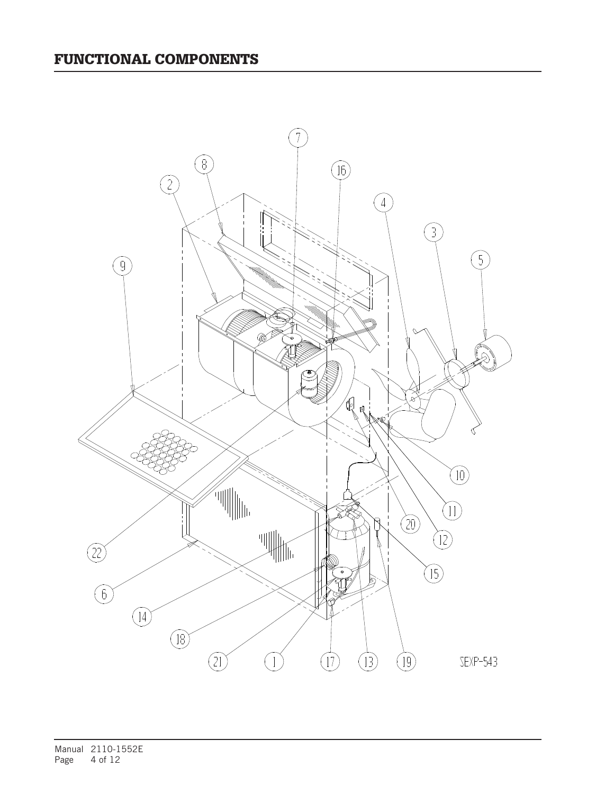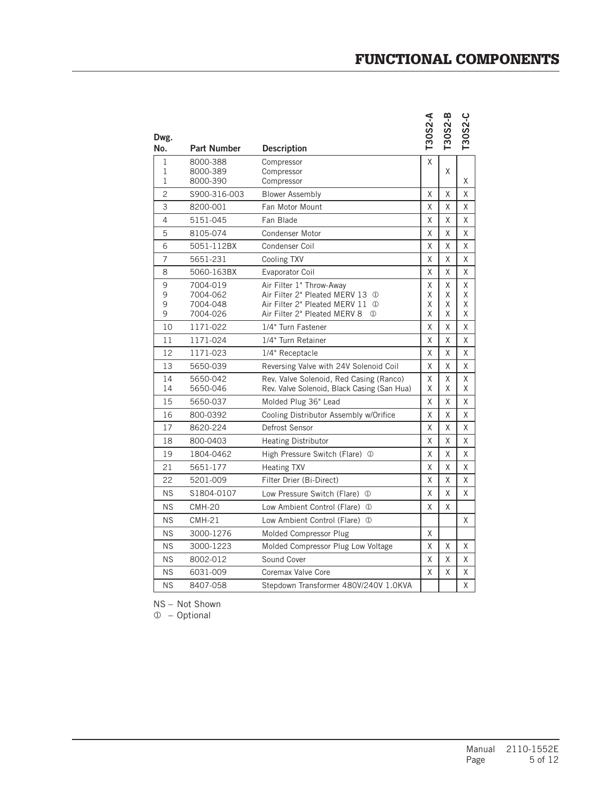| Dwg.<br>No.    | <b>Part Number</b>     | <b>Description</b>                           | T30S2-A | $30$ S2-B | T30S2-C |
|----------------|------------------------|----------------------------------------------|---------|-----------|---------|
| 1              | 8000-388               | Compressor                                   | X       |           |         |
| 1<br>1         | 8000-389<br>8000-390   | Compressor<br>Compressor                     |         | X         | X       |
| $\overline{c}$ | S900-316-003           | <b>Blower Assembly</b>                       | X       | X         | X       |
| 3              | 8200-001               | Fan Motor Mount                              | X       | χ         | X       |
| 4              | 5151-045               | Fan Blade                                    | X       | χ         | X       |
| 5              | 8105-074               | Condenser Motor                              | Χ       | Χ         | X       |
| 6              |                        |                                              | Χ       | Χ         | X       |
| 7              | 5051-112BX<br>5651-231 | Condenser Coil                               | Χ       | Χ         | X       |
|                | 5060-163BX             | <b>Cooling TXV</b>                           | X       | Χ         | X       |
| 8<br>9         | 7004-019               | Evaporator Coil<br>Air Filter 1" Throw-Away  |         | χ         | X       |
| 9              | 7004-062               | Air Filter 2" Pleated MERV 13 1              | Χ<br>Χ  | Χ         | Χ       |
| 9              | 7004-048               | Air Filter 2" Pleated MERV 11 ①              | Χ       | Χ         | Χ       |
| 9              | 7004-026               | Air Filter 2" Pleated MERV 8<br>$\mathbb{D}$ | Χ       | Χ         | X       |
| 10             | 1171-022               | 1/4" Turn Fastener                           | Χ       | Χ         | Χ       |
| 11             | 1171-024               | 1/4" Turn Retainer                           | Χ       | Χ         | Χ       |
| 12             | 1171-023               | 1/4" Receptacle                              | Χ       | Χ         | Χ       |
| 13             | 5650-039               | Reversing Valve with 24V Solenoid Coil       | Χ       | Χ         | Χ       |
| 14             | 5650-042               | Rev. Valve Solenoid, Red Casing (Ranco)      | Χ       | χ         | Χ       |
| 14             | 5650-046               | Rev. Valve Solenoid, Black Casing (San Hua)  | X       | Χ         | X       |
| 15             | 5650-037               | Molded Plug 36" Lead                         | Χ       | Χ         | X       |
| 16             | 800-0392               | Cooling Distributor Assembly w/Orifice       | X       | Χ         | Χ       |
| 17             | 8620-224               | Defrost Sensor                               | Χ       | Χ         | X       |
| 18             | 800-0403               | <b>Heating Distributor</b>                   | Χ       | Χ         | χ       |
| 19             | 1804-0462              | High Pressure Switch (Flare) 1               | Χ       | Χ         | χ       |
| 21             | 5651-177               | <b>Heating TXV</b>                           | Χ       | Χ         | χ       |
| 22             | 5201-009               | Filter Drier (Bi-Direct)                     | Χ       | Χ         | X       |
| <b>NS</b>      | S1804-0107             | Low Pressure Switch (Flare) 1                | Χ       | Χ         | Χ       |
| <b>NS</b>      | <b>CMH-20</b>          | Low Ambient Control (Flare)<br>$\circled{1}$ | X       | χ         |         |
| ΝS             | $CMH-21$               | Low Ambient Control (Flare)<br>$\circled{1}$ |         |           | X       |
| <b>NS</b>      | 3000-1276              | Molded Compressor Plug                       | Χ       |           |         |
| <b>NS</b>      | 3000-1223              | Molded Compressor Plug Low Voltage           | Χ       | χ         | Χ       |
| <b>NS</b>      | 8002-012               | Sound Cover                                  | X       | Χ         | X       |
| <b>NS</b>      | 6031-009               | Coremax Valve Core                           | X       | χ         | X       |
| <b>NS</b>      | 8407-058               | Stepdown Transformer 480V/240V 1.0KVA        |         |           | X       |

NS – Not Shown

– Optional

Manual 2110-1552E Page 5 of 12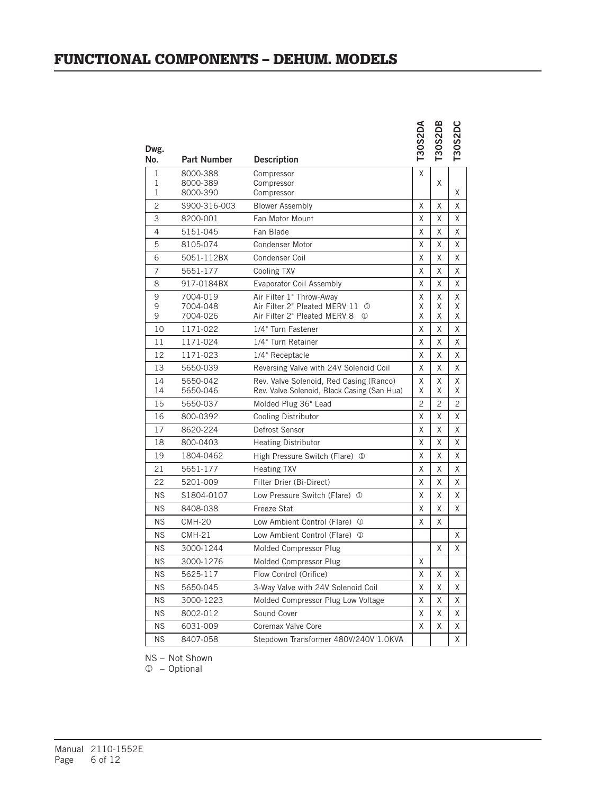### FUNCTIONAL COMPONENTS – DEHUM. MODELS

| Dwg.<br>No.    | <b>Part Number</b>               | <b>Description</b>                                                                                               | T30S2DA        | <b>T30S2DB</b> | T30S2DC     |
|----------------|----------------------------------|------------------------------------------------------------------------------------------------------------------|----------------|----------------|-------------|
| 1<br>1<br>1    | 8000-388<br>8000-389<br>8000-390 | Compressor<br>Compressor<br>Compressor                                                                           | X              | Χ              | Χ           |
| $\overline{c}$ | S900-316-003                     | <b>Blower Assembly</b>                                                                                           | X              | Χ              | Χ           |
| 3              | 8200-001                         | Fan Motor Mount                                                                                                  | X              | Χ              | Χ           |
| 4              | 5151-045                         | Fan Blade                                                                                                        | X              | Χ              | Χ           |
| 5              | 8105-074                         | <b>Condenser Motor</b>                                                                                           | X              | Χ              | X           |
| 6              | 5051-112BX                       | Condenser Coil                                                                                                   | X              | Χ              | Χ           |
| 7              | 5651-177                         | Cooling TXV                                                                                                      | X              | Χ              | Χ           |
| 8              | 917-0184BX                       | Evaporator Coil Assembly                                                                                         | X              | X              | Χ           |
| 9<br>9<br>9    | 7004-019<br>7004-048<br>7004-026 | Air Filter 1" Throw-Awav<br>Air Filter 2" Pleated MERV 11 1<br>Air Filter 2" Pleated MERV 8<br>$\textcircled{1}$ | X<br>X<br>X    | Χ<br>Χ<br>X    | χ<br>Χ<br>Χ |
| 10             | 1171-022                         | 1/4" Turn Fastener                                                                                               | X              | X              | X           |
| 11             | 1171-024                         | 1/4" Turn Retainer                                                                                               | χ              | Χ              | χ           |
| 12             | 1171-023                         | 1/4" Receptacle                                                                                                  | χ              | Χ              | Χ           |
| 13             | 5650-039                         | Reversing Valve with 24V Solenoid Coil                                                                           | X              | Χ              | Χ           |
| 14<br>14       | 5650-042<br>5650-046             | Rev. Valve Solenoid, Red Casing (Ranco)<br>Rev. Valve Solenoid, Black Casing (San Hua)                           | X<br>X         | Χ<br>Χ         | Χ<br>Χ      |
| 15             | 5650-037                         | Molded Plug 36" Lead                                                                                             | $\overline{2}$ | 2              | 2           |
| 16             | 800-0392                         | Cooling Distributor                                                                                              | X              | X              | Χ           |
| 17             | 8620-224                         | Defrost Sensor                                                                                                   | X              | Χ              | Χ           |
| 18             | 800-0403                         | <b>Heating Distributor</b>                                                                                       | X              | Χ              | Χ           |
| 19             | 1804-0462                        | High Pressure Switch (Flare) 1                                                                                   | X              | Χ              | X           |
| 21             | 5651-177                         | <b>Heating TXV</b>                                                                                               | X              | Χ              | Χ           |
| 22             | 5201-009                         | Filter Drier (Bi-Direct)                                                                                         | X              | X              | Χ           |
| <b>NS</b>      | S1804-0107                       | Low Pressure Switch (Flare) 1                                                                                    | X              | Χ              | Χ           |
| <b>NS</b>      | 8408-038                         | <b>Freeze Stat</b>                                                                                               | X              | X              | Χ           |
| <b>NS</b>      | <b>CMH-20</b>                    | Low Ambient Control (Flare)<br>$\mathcal{D}$                                                                     | X              | Χ              |             |
| <b>NS</b>      | $CMH-21$                         | Low Ambient Control (Flare)<br>$\circled{1}$                                                                     |                |                | Χ           |
| <b>NS</b>      | 3000-1244                        | Molded Compressor Plug                                                                                           |                | Χ              | Χ           |
| <b>NS</b>      | 3000-1276                        | Molded Compressor Plug                                                                                           | X              |                |             |
| <b>NS</b>      | 5625-117                         | Flow Control (Orifice)                                                                                           | X              | Χ              | Χ           |
| <b>NS</b>      | 5650-045                         | 3-Way Valve with 24V Solenoid Coil                                                                               | X              | Χ              | Χ           |
| <b>NS</b>      | 3000-1223                        | Molded Compressor Plug Low Voltage                                                                               | X              | Χ              | Χ           |
| <b>NS</b>      | 8002-012                         | Sound Cover                                                                                                      | X              | X              | Χ           |
| <b>NS</b>      | 6031-009                         | Coremax Valve Core                                                                                               | X              | X              | Χ           |
| <b>NS</b>      | 8407-058                         | Stepdown Transformer 480V/240V 1.0KVA                                                                            |                |                | Χ           |

NS – Not Shown

– Optional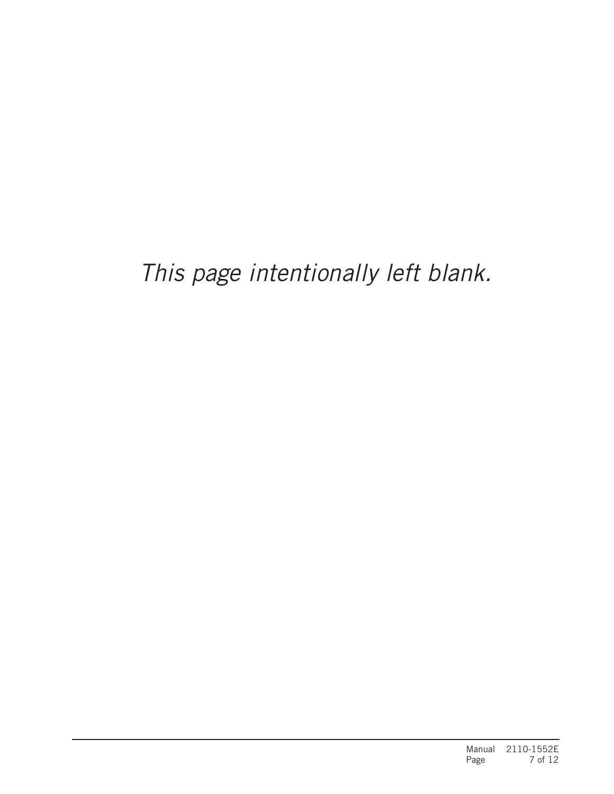*This page intentionally left blank.*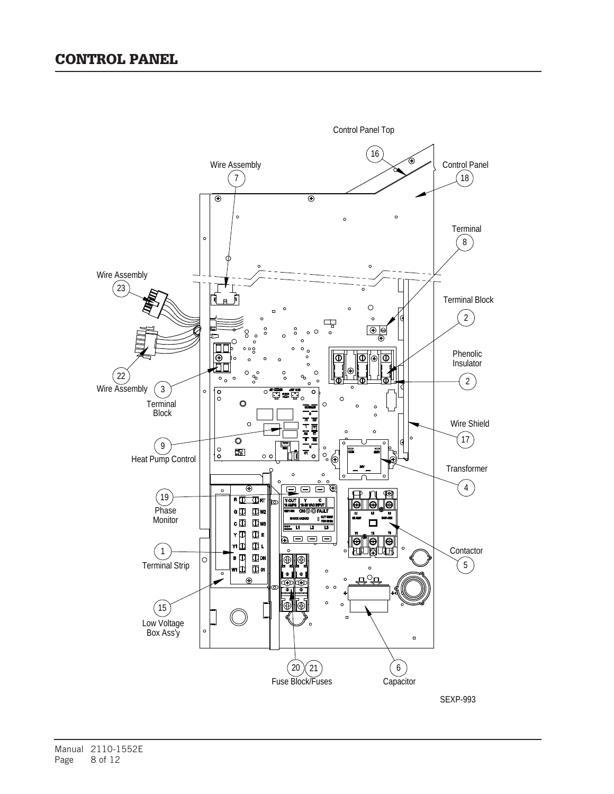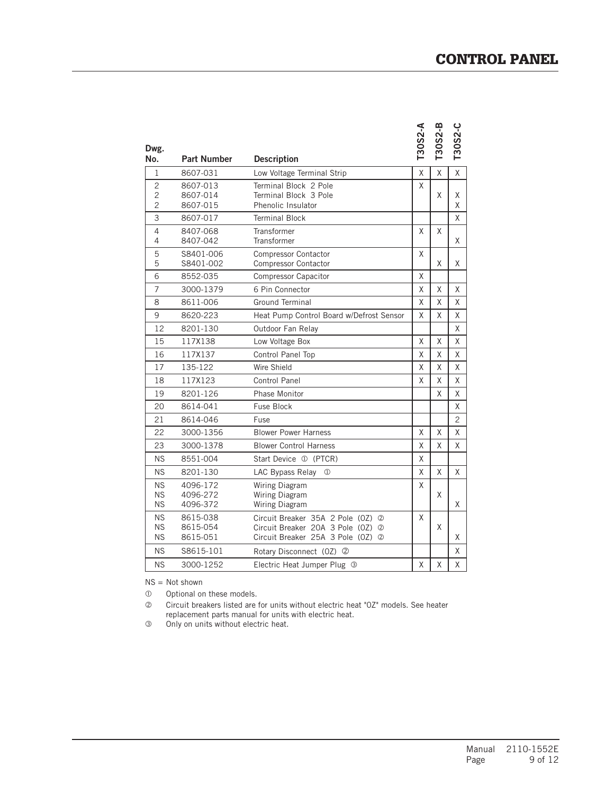| Dwg.<br>No.                                        | <b>Part Number</b>               | <b>Description</b>                                                                                          | 130S2-A | 30S2-B | T30S2-C        |
|----------------------------------------------------|----------------------------------|-------------------------------------------------------------------------------------------------------------|---------|--------|----------------|
| 1                                                  | 8607-031                         | Low Voltage Terminal Strip                                                                                  | Χ       | X      | X              |
| $\overline{c}$<br>$\overline{c}$<br>$\overline{c}$ | 8607-013<br>8607-014<br>8607-015 | Terminal Block 2 Pole<br>Terminal Block 3 Pole<br>Phenolic Insulator                                        | Χ       | Χ      | X<br>X         |
| 3                                                  | 8607-017                         | <b>Terminal Block</b>                                                                                       |         |        | X              |
| 4<br>4                                             | 8407-068<br>8407-042             | Transformer<br>Transformer                                                                                  | Χ       | Χ      | X              |
| 5<br>5                                             | S8401-006<br>S8401-002           | <b>Compressor Contactor</b><br>Compressor Contactor                                                         | X       | Χ      | X              |
| 6                                                  | 8552-035                         | <b>Compressor Capacitor</b>                                                                                 | X       |        |                |
| 7                                                  | 3000-1379                        | 6 Pin Connector                                                                                             | X       | Χ      | χ              |
| 8                                                  | 8611-006                         | <b>Ground Terminal</b>                                                                                      | X       | X      | X              |
| 9                                                  | 8620-223                         | Heat Pump Control Board w/Defrost Sensor                                                                    | Χ       | X      | Χ              |
| 12                                                 | 8201-130                         | Outdoor Fan Relay                                                                                           |         |        | Χ              |
| 15                                                 | 117X138                          | Low Voltage Box                                                                                             | Χ       | Χ      | X              |
| 16                                                 | 117X137                          | Control Panel Top                                                                                           | Χ       | X      | X              |
| 17                                                 | 135-122                          | Wire Shield                                                                                                 | X       | X      | X              |
| 18                                                 | 117X123                          | <b>Control Panel</b>                                                                                        | Χ       | Χ      | Χ              |
| 19                                                 | 8201-126                         | <b>Phase Monitor</b>                                                                                        |         | Χ      | Χ              |
| 20                                                 | 8614-041                         | Fuse Block                                                                                                  |         |        | Χ              |
| 21                                                 | 8614-046                         | Fuse                                                                                                        |         |        | $\overline{c}$ |
| 22                                                 | 3000-1356                        | <b>Blower Power Harness</b>                                                                                 | Χ       | Χ      | χ              |
| 23                                                 | 3000-1378                        | <b>Blower Control Harness</b>                                                                               | X       | X      | X              |
| <b>NS</b>                                          | 8551-004                         | Start Device 1 (PTCR)                                                                                       | X       |        |                |
| <b>NS</b>                                          | 8201-130                         | LAC Bypass Relay<br>$^{\circ}$                                                                              | X       | Χ      | X              |
| <b>NS</b><br><b>NS</b><br><b>NS</b>                | 4096-172<br>4096-272<br>4096-372 | Wiring Diagram<br>Wiring Diagram<br>Wiring Diagram                                                          | X       | Χ      | X              |
| <b>NS</b><br><b>NS</b><br><b>NS</b>                | 8615-038<br>8615-054<br>8615-051 | Circuit Breaker 35A 2 Pole (OZ) 2<br>Circuit Breaker 20A 3 Pole (0Z) 2<br>Circuit Breaker 25A 3 Pole (OZ) 2 | X       | X      | X              |
| <b>NS</b>                                          | S8615-101                        | Rotary Disconnect (OZ) 2                                                                                    |         |        | X              |
| <b>NS</b>                                          | 3000-1252                        | Electric Heat Jumper Plug 3                                                                                 | χ       | χ      | Χ              |

NS = Not shown

Optional on these models.

 Circuit breakers listed are for units without electric heat "0Z" models. See heater replacement parts manual for units with electric heat.

Only on units without electric heat.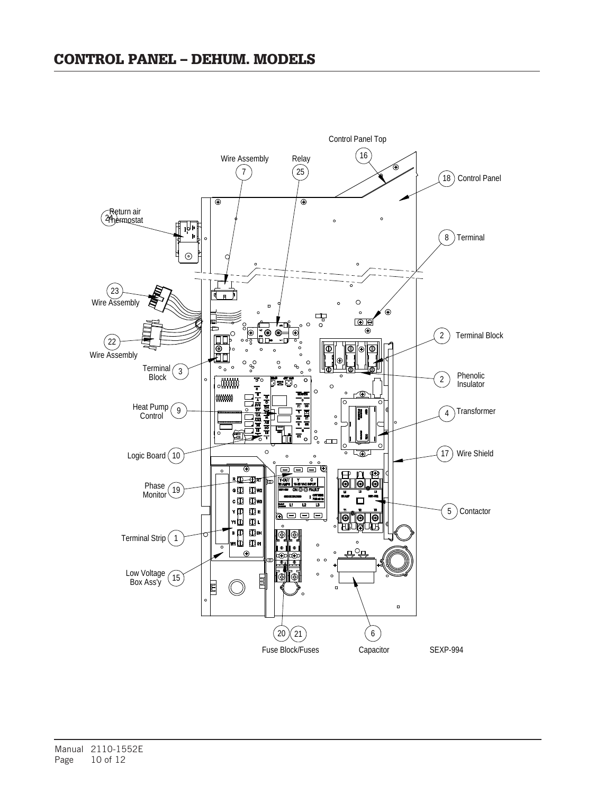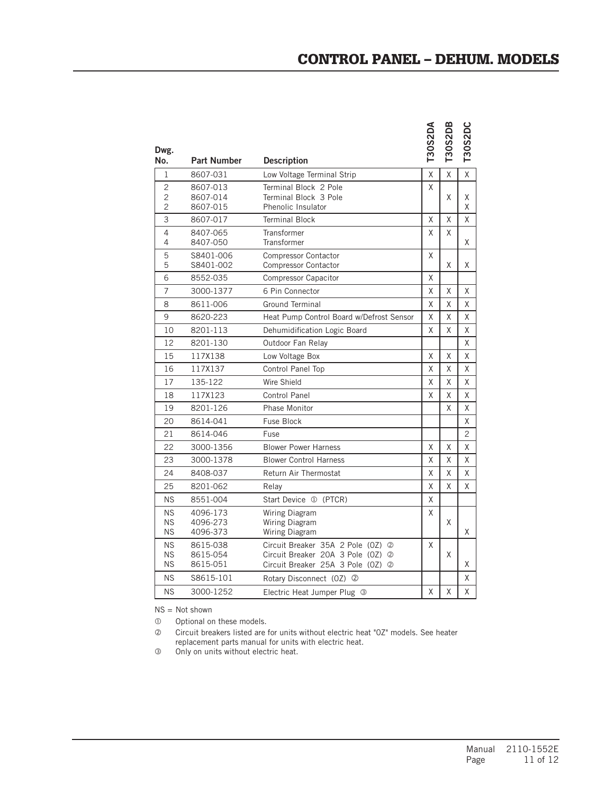| Dwg.<br>No.                                        | <b>Part Number</b>               | <b>Description</b>                                                                                          | T30S2DA | T30S2DB | T30S2DC        |
|----------------------------------------------------|----------------------------------|-------------------------------------------------------------------------------------------------------------|---------|---------|----------------|
| 1                                                  | 8607-031                         | Low Voltage Terminal Strip                                                                                  | X       | X       | X              |
| $\overline{c}$<br>$\overline{c}$<br>$\overline{c}$ | 8607-013<br>8607-014<br>8607-015 | Terminal Block 2 Pole<br>Terminal Block 3 Pole<br>Phenolic Insulator                                        | χ       | χ       | X<br>Χ         |
| 3                                                  | 8607-017                         | <b>Terminal Block</b>                                                                                       | Χ       | Χ       | Χ              |
| 4<br>4                                             | 8407-065<br>8407-050             | Transformer<br>Transformer                                                                                  | X       | X       | X              |
| 5<br>5                                             | S8401-006<br>S8401-002           | <b>Compressor Contactor</b><br><b>Compressor Contactor</b>                                                  | χ       | Χ       | Χ              |
| 6                                                  | 8552-035                         | Compressor Capacitor                                                                                        | Χ       |         |                |
| 7                                                  | 3000-1377                        | 6 Pin Connector                                                                                             | X       | Χ       | X              |
| 8                                                  | 8611-006                         | <b>Ground Terminal</b>                                                                                      | Χ       | Χ       | X              |
| 9                                                  | 8620-223                         | Heat Pump Control Board w/Defrost Sensor                                                                    | X       | X       | X              |
| 10                                                 | 8201-113                         | Dehumidification Logic Board                                                                                | Χ       | Χ       | Χ              |
| 12                                                 | 8201-130                         | Outdoor Fan Relay                                                                                           |         |         | X              |
| 15                                                 | 117X138                          | Low Voltage Box                                                                                             | X       | Χ       | Χ              |
| 16                                                 | 117X137                          | Control Panel Top                                                                                           | Χ       | Χ       | Χ              |
| 17                                                 | 135-122                          | Wire Shield                                                                                                 | X       | Χ       | X              |
| 18                                                 | 117X123                          | Control Panel                                                                                               | X       | Χ       | Χ              |
| 19                                                 | 8201-126                         | <b>Phase Monitor</b>                                                                                        |         | Χ       | Χ              |
| 20                                                 | 8614-041                         | Fuse Block                                                                                                  |         |         | Χ              |
| 21                                                 | 8614-046                         | Fuse                                                                                                        |         |         | $\overline{c}$ |
| 22                                                 | 3000-1356                        | <b>Blower Power Harness</b>                                                                                 | Χ       | Χ       | X              |
| 23                                                 | 3000-1378                        | <b>Blower Control Harness</b>                                                                               | X       | χ       | X              |
| 24                                                 | 8408-037                         | Return Air Thermostat                                                                                       | χ       | Χ       | Χ              |
| 25                                                 | 8201-062                         | Relay                                                                                                       | χ       | Χ       | Χ              |
| <b>NS</b>                                          | 8551-004                         | Start Device 1 (PTCR)                                                                                       | Χ       |         |                |
| <b>NS</b>                                          | 4096-173                         | Wiring Diagram                                                                                              | X       |         |                |
| <b>NS</b><br>ΝS                                    | 4096-273<br>4096-373             | Wiring Diagram<br>Wiring Diagram                                                                            |         | χ       | X              |
| ΝS<br>ΝS<br><b>NS</b>                              | 8615-038<br>8615-054<br>8615-051 | Circuit Breaker 35A 2 Pole (OZ) 2<br>Circuit Breaker 20A 3 Pole (OZ) 2<br>Circuit Breaker 25A 3 Pole (0Z) 2 | X       | Χ       | X              |
| <b>NS</b>                                          | S8615-101                        | Rotary Disconnect (OZ) 2                                                                                    |         |         | X              |
| <b>NS</b>                                          | 3000-1252                        | Electric Heat Jumper Plug 3                                                                                 | χ       | X       | X              |

NS = Not shown

Optional on these models.

 Circuit breakers listed are for units without electric heat "0Z" models. See heater replacement parts manual for units with electric heat.

Only on units without electric heat.